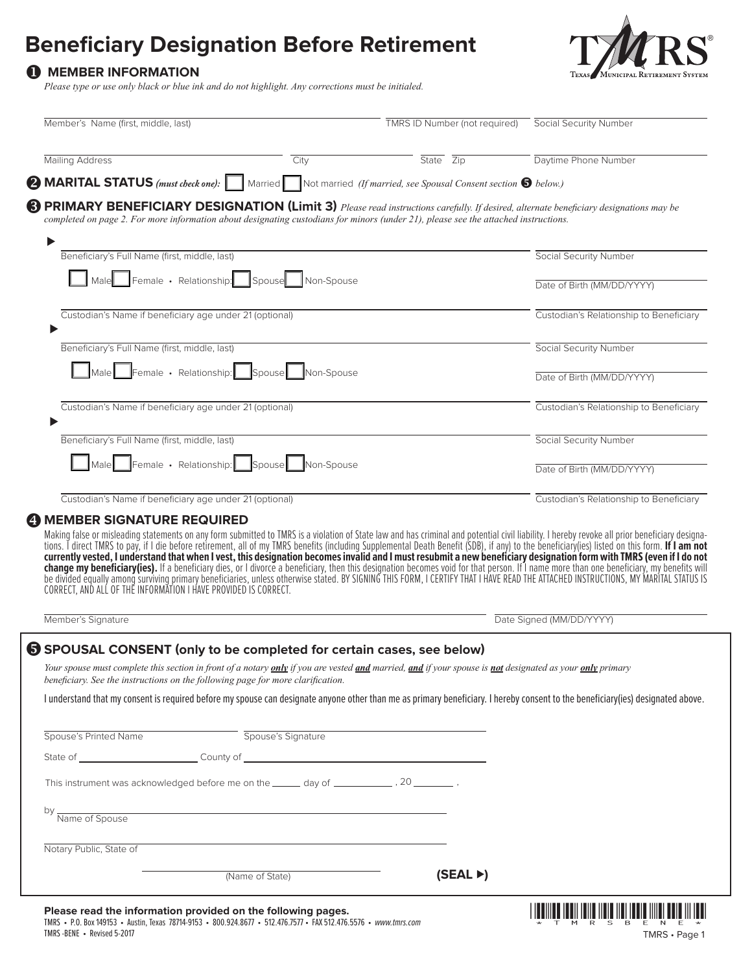# **Beneficiary Designation Before Retirement**

### **1** MEMBER INFORMATION

**TEX** MUNICIPAL RE'

*Please type or use only black or blue ink and do not highlight. Any corrections must be initialed.*

| Member's Name (first, middle, last)                                                                                                                                                                                                                                                                                                                                                                                                                                                                                                                                                                               | <b>TMRS ID Number (not required)</b>                                            | Social Security Number                  |
|-------------------------------------------------------------------------------------------------------------------------------------------------------------------------------------------------------------------------------------------------------------------------------------------------------------------------------------------------------------------------------------------------------------------------------------------------------------------------------------------------------------------------------------------------------------------------------------------------------------------|---------------------------------------------------------------------------------|-----------------------------------------|
| <b>Mailing Address</b>                                                                                                                                                                                                                                                                                                                                                                                                                                                                                                                                                                                            | State Zip<br>City                                                               | Daytime Phone Number                    |
| $\bullet$ MARITAL STATUS (must check one): $\vert \quad \vert$                                                                                                                                                                                                                                                                                                                                                                                                                                                                                                                                                    | Married Not married (If married, see Spousal Consent section $\bigcirc$ below.) |                                         |
| <b>B</b> PRIMARY BENEFICIARY DESIGNATION (Limit 3) Please read instructions carefully. If desired, alternate beneficiary designations may be<br>completed on page 2. For more information about designating custodians for minors (under 21), please see the attached instructions.                                                                                                                                                                                                                                                                                                                               |                                                                                 |                                         |
| ▶<br>Beneficiary's Full Name (first, middle, last)                                                                                                                                                                                                                                                                                                                                                                                                                                                                                                                                                                |                                                                                 | <b>Social Security Number</b>           |
| Male Female · Relationship: Spouse                                                                                                                                                                                                                                                                                                                                                                                                                                                                                                                                                                                | Non-Spouse                                                                      | Date of Birth (MM/DD/YYYY)              |
| Custodian's Name if beneficiary age under 21 (optional)                                                                                                                                                                                                                                                                                                                                                                                                                                                                                                                                                           |                                                                                 | Custodian's Relationship to Beneficiary |
| Beneficiary's Full Name (first, middle, last)                                                                                                                                                                                                                                                                                                                                                                                                                                                                                                                                                                     |                                                                                 | Social Security Number                  |
| Male Female · Relationship: Spouse                                                                                                                                                                                                                                                                                                                                                                                                                                                                                                                                                                                | Non-Spouse                                                                      | Date of Birth (MM/DD/YYYY)              |
| Custodian's Name if beneficiary age under 21 (optional)                                                                                                                                                                                                                                                                                                                                                                                                                                                                                                                                                           |                                                                                 | Custodian's Relationship to Beneficiary |
| Beneficiary's Full Name (first, middle, last)                                                                                                                                                                                                                                                                                                                                                                                                                                                                                                                                                                     |                                                                                 | Social Security Number                  |
| Female · Relationship: Spouse Non-Spouse<br><b>I</b> Male                                                                                                                                                                                                                                                                                                                                                                                                                                                                                                                                                         |                                                                                 | Date of Birth (MM/DD/YYYY)              |
| Custodian's Name if beneficiary age under 21 (optional)                                                                                                                                                                                                                                                                                                                                                                                                                                                                                                                                                           |                                                                                 | Custodian's Relationship to Beneficiary |
| tions. I direct TMRS to pay, if I die before retirement, all of my TMRS benefits (including Supplemental Death Benefit (SDB), if any) to the beneficiary(ies) listed on this form. If I am not currently vested, I understand<br>change my beneficiary (ies). If a beneficiary dies, or I divorce a beneficiary, then this designation becomes void for that person. If I name more than one beneficiary, my benefits will<br>be divided equally among surviving primary beneficiaries, unless otherwise stated. BY SIGNING THIS FORM, I CERTIFY THAT I HAVE READ THE ATTACHED INSTRUCTIONS, MY MARITAL STATUS IS |                                                                                 |                                         |
| Member's Signature                                                                                                                                                                                                                                                                                                                                                                                                                                                                                                                                                                                                |                                                                                 | Date Signed (MM/DD/YYYY)                |
| S SPOUSAL CONSENT (only to be completed for certain cases, see below)<br>Your spouse must complete this section in front of a notary <i>only</i> if you are vested <i>and</i> married, and if your spouse is not designated as your <i>only</i> primary<br>beneficiary. See the instructions on the following page for more clarification.<br>I understand that my consent is required before my spouse can designate anyone other than me as primary beneficiary. I hereby consent to the beneficiary(ies) designated above.                                                                                     |                                                                                 |                                         |
| Spouse's Printed Name Spouse's Signature                                                                                                                                                                                                                                                                                                                                                                                                                                                                                                                                                                          |                                                                                 |                                         |
|                                                                                                                                                                                                                                                                                                                                                                                                                                                                                                                                                                                                                   |                                                                                 |                                         |
|                                                                                                                                                                                                                                                                                                                                                                                                                                                                                                                                                                                                                   |                                                                                 |                                         |
| <u> 1989 - Johann Stoff, Amerikaansk politiker († 1908)</u><br>by Name of Spouse                                                                                                                                                                                                                                                                                                                                                                                                                                                                                                                                  |                                                                                 |                                         |
| Notary Public, State of                                                                                                                                                                                                                                                                                                                                                                                                                                                                                                                                                                                           |                                                                                 |                                         |
|                                                                                                                                                                                                                                                                                                                                                                                                                                                                                                                                                                                                                   |                                                                                 |                                         |
| (Name of State)                                                                                                                                                                                                                                                                                                                                                                                                                                                                                                                                                                                                   | (SEAL)                                                                          |                                         |

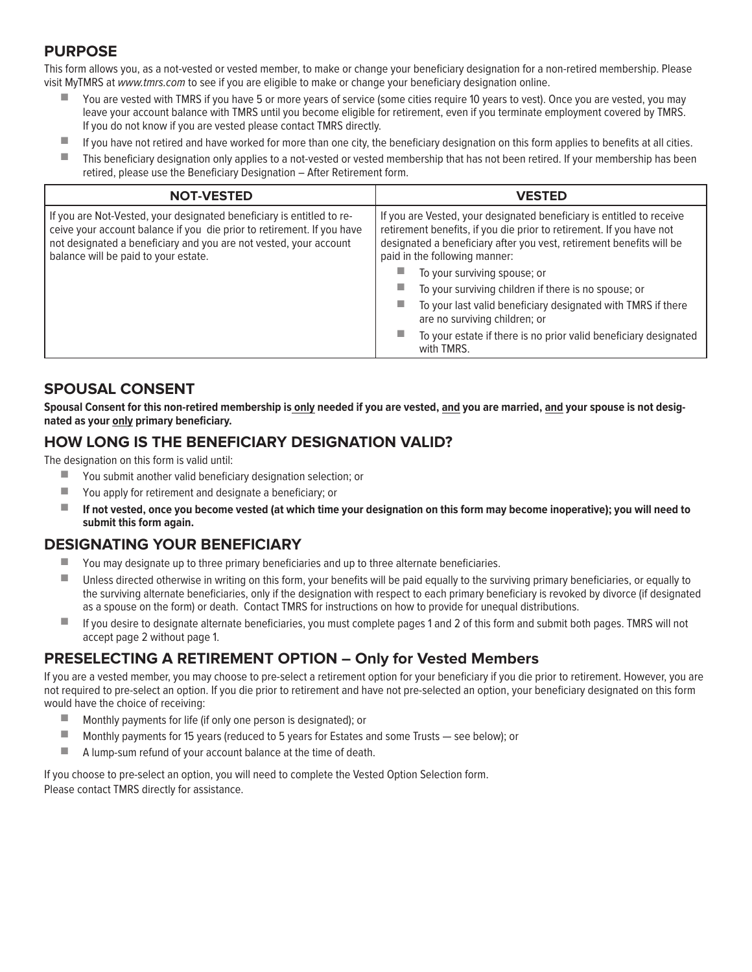### **PURPOSE**

This form allows you, as a not-vested or vested member, to make or change your beneficiary designation for a non-retired membership. Please visit MyTMRS at *www.tmrs.com* to see if you are eligible to make or change your beneficiary designation online.

- You are vested with TMRS if you have 5 or more years of service (some cities require 10 years to vest). Once you are vested, you may leave your account balance with TMRS until you become eligible for retirement, even if you terminate employment covered by TMRS. If you do not know if you are vested please contact TMRS directly.
- If you have not retired and have worked for more than one city, the beneficiary designation on this form applies to benefits at all cities.
- This beneficiary designation only applies to a not-vested or vested membership that has not been retired. If your membership has been retired, please use the Beneficiary Designation – After Retirement form.

| <b>NOT-VESTED</b>                                                                                                                                                                                                                                            | <b>VESTED</b>                                                                                                                                                                                                                                                                                                                                                                                                                                                                                                                          |  |
|--------------------------------------------------------------------------------------------------------------------------------------------------------------------------------------------------------------------------------------------------------------|----------------------------------------------------------------------------------------------------------------------------------------------------------------------------------------------------------------------------------------------------------------------------------------------------------------------------------------------------------------------------------------------------------------------------------------------------------------------------------------------------------------------------------------|--|
| If you are Not-Vested, your designated beneficiary is entitled to re-<br>ceive your account balance if you die prior to retirement. If you have<br>not designated a beneficiary and you are not vested, your account<br>balance will be paid to your estate. | If you are Vested, your designated beneficiary is entitled to receive<br>retirement benefits, if you die prior to retirement. If you have not<br>designated a beneficiary after you vest, retirement benefits will be<br>paid in the following manner:<br>To your surviving spouse; or<br>To your surviving children if there is no spouse; or<br>To your last valid beneficiary designated with TMRS if there<br>ш<br>are no surviving children; or<br>To your estate if there is no prior valid beneficiary designated<br>with TMRS. |  |

### **SPOUSAL CONSENT**

**Spousal Consent for this non-retired membership is only needed if you are vested, and you are married, and your spouse is not designated as your only primary beneficiary.**

### **HOW LONG IS THE BENEFICIARY DESIGNATION VALID?**

The designation on this form is valid until:

- You submit another valid beneficiary designation selection; or
- You apply for retirement and designate a beneficiary; or
- **If not vested, once you become vested (at which time your designation on this form may become inoperative); you will need to submit this form again.**

### **DESIGNATING YOUR BENEFICIARY**

- You may designate up to three primary beneficiaries and up to three alternate beneficiaries.
- Unless directed otherwise in writing on this form, your benefits will be paid equally to the surviving primary beneficiaries, or equally to the surviving alternate beneficiaries, only if the designation with respect to each primary beneficiary is revoked by divorce (if designated as a spouse on the form) or death. Contact TMRS for instructions on how to provide for unequal distributions.
- If you desire to designate alternate beneficiaries, you must complete pages 1 and 2 of this form and submit both pages. TMRS will not accept page 2 without page 1.

### **PRESELECTING A RETIREMENT OPTION – Only for Vested Members**

If you are a vested member, you may choose to pre-select a retirement option for your beneficiary if you die prior to retirement. However, you are not required to pre-select an option. If you die prior to retirement and have not pre-selected an option, your beneficiary designated on this form would have the choice of receiving:

- Monthly payments for life (if only one person is designated); or
- Monthly payments for 15 years (reduced to 5 years for Estates and some Trusts see below); or
- A lump-sum refund of your account balance at the time of death.

If you choose to pre-select an option, you will need to complete the Vested Option Selection form. Please contact TMRS directly for assistance.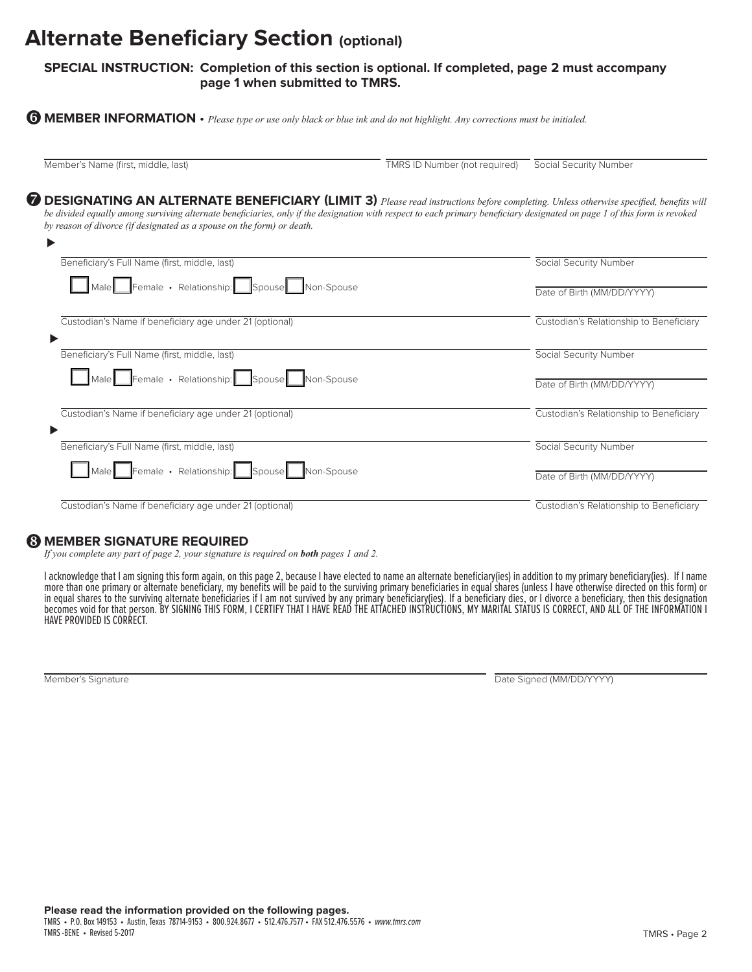## **Alternate Beneficiary Section (optional)**

#### **SPECIAL INSTRUCTION: Completion of this section is optional. If completed, page 2 must accompany page 1 when submitted to TMRS.**

**MEMBER INFORMATION** • *Please type or use only black or blue ink and do not highlight. Any corrections must be initialed.*  z

Member's Name (first, middle, last) TMRS ID Number (not required) Social Security Number

 $\bullet$  DESIGNATING AN ALTERNATE BENEFICIARY (LIMIT 3) *Please read instructions before completing. Unless otherwise specified, benefits will be divided equally among surviving alternate beneficiaries, only if the designation with respect to each primary beneficiary designated on page 1 of this form is revoked by reason of divorce (if designated as a spouse on the form) or death.*

| ▶                                                       |                                         |
|---------------------------------------------------------|-----------------------------------------|
| Beneficiary's Full Name (first, middle, last)           | Social Security Number                  |
| Male Female · Relationship: Spouse Non-Spouse           | Date of Birth (MM/DD/YYYY)              |
| Custodian's Name if beneficiary age under 21 (optional) | Custodian's Relationship to Beneficiary |
| Beneficiary's Full Name (first, middle, last)           | Social Security Number                  |
| Male Female · Relationship: Spouse Non-Spouse           | Date of Birth (MM/DD/YYYY)              |
| Custodian's Name if beneficiary age under 21 (optional) | Custodian's Relationship to Beneficiary |
| Beneficiary's Full Name (first, middle, last)           | Social Security Number                  |
| Male Female · Relationship: Spouse Non-Spouse           | Date of Birth (MM/DD/YYYY)              |
| Custodian's Name if beneficiary age under 21 (optional) | Custodian's Relationship to Beneficiary |

### **& MEMBER SIGNATURE REQUIRED**

*If you complete any part of page 2, your signature is required on both pages 1 and 2.*

I acknowledge that I am signing this form again, on this page 2, because I have elected to name an alternate beneficiary(ies) in addition to my primary beneficiary(ies). If I name more than one primary or alternate beneficiary, my benefits will be paid to the surviving primary beneficiaries in equal shares (unless I have otherwise directed on this form) or in equal shares to the surviving alternate beneficiaries if I am not survived by any primary beneficiary(ies). If a beneficiary dies, or I divorce a beneficiary, then this designation becomes void for that person. BY SIGNING THIS FORM, I CERTIFY THAT I HAVE READ THE ATTACHED INSTRUCTIONS, MY MARITAL STATUS IS CORRECT, AND ALL OF THE INFORMATION I HAVE PROVIDED IS CORRECT.

Member's Signature Date Signature Date Signed (MM/DD/YYYY)